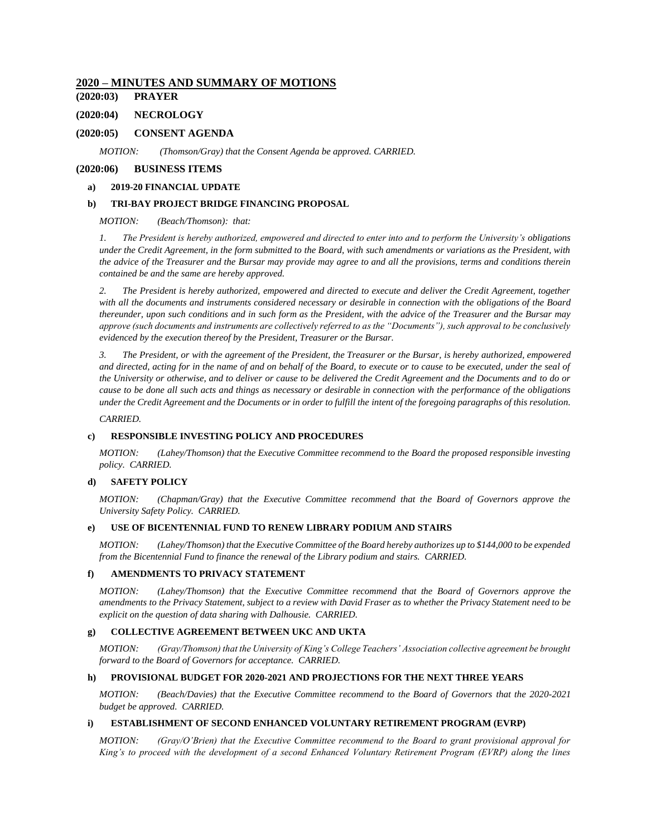### **2020 – MINUTES AND SUMMARY OF MOTIONS**

**(2020:03) [PRAYER](#page-2-0)**

### **(2020:04) [NECROLOGY](#page-2-1)**

### **(2020:05) [CONSENT AGENDA](#page-2-2)**

*MOTION: [\(Thomson/Gray\) that the Consent Agenda be approved. CARRIED.](#page-2-3)*

### **(2020:06) [BUSINESS ITEMS](#page-3-0)**

#### **a) [2019-20 FINANCIAL UPDATE](#page-3-1)**

### **b) [TRI-BAY PROJECT BRIDGE FINANCING PROPOSAL](#page-3-2)**

*[MOTION: \(Beach/Thomson\): that:](#page-3-3)*

*1. [The President is hereby authorized, empowered and directed to enter into and to perform the University's obligations](#page-3-4)  [under the Credit Agreement, in the form submitted to the Board, with such amendments or variations as the President, with](#page-3-4)  [the advice of the Treasurer and the Bursar may provide may agree to and all the provisions, terms and conditions therein](#page-3-4)  [contained be and the same are hereby approved.](#page-3-4)*

*2. [The President is hereby authorized, empowered and directed to execute and deliver the Credit Agreement, together](#page-3-5)  [with all the documents and instruments considered necessary or](#page-3-5) desirable in connection with the obligations of the Board [thereunder, upon such conditions and in such form as the President, with the advice of the Treasurer and the Bursar may](#page-3-5)  [approve \(such documents and instruments are collectively referred to as the "Documents"\), such approval to be conclusively](#page-3-5)  [evidenced by the execution thereof by the President, Treasurer or the Bursar.](#page-3-5)*

*3. [The President, or with the agreement of the President, the Treasurer or the Bursar, is hereby authorized, empowered](#page-4-0)  [and directed, acting for in the name of and on behalf of the Board, to execute or to cause to be executed, under the seal of](#page-4-0)  [the University or otherwise, and to deliver or cause to be delivered the Credit Agreement and the Documents and to do or](#page-4-0)  [cause to be done all such acts and things as necessary or desirable in connection with the performance of the obligations](#page-4-0)  [under the Credit Agreement and the Documents or in order to fulfill the intent of the foregoing paragraphs of this resolution.](#page-4-0)*

*[CARRIED.](#page-4-1)*

### **c) [RESPONSIBLE INVESTING POLICY AND PROCEDURES](#page-4-2)**

*MOTION: [\(Lahey/Thomson\) that the Executive Committee recommend to the Board the proposed responsible investing](#page-4-3)  [policy. CARRIED.](#page-4-3)*

### **d) [SAFETY POLICY](#page-5-0)**

*[MOTION: \(Chapman/Gray\) that the Executive Committee](#page-5-1) recommend that the Board of Governors approve the [University Safety Policy. CARRIED.](#page-5-1)*

### **e) [USE OF BICENTENNIAL FUND TO RENEW LIBRARY PODIUM AND STAIRS](#page-5-2)**

*[MOTION: \(Lahey/Thomson\) that the Executive Committee of the Board hereby authorizes up to \\$144,000 to be expended](#page-5-3)  [from the Bicentennial Fund to finance the renewal of the Library podium and stairs. CARRIED.](#page-5-3)*

#### **f) [AMENDMENTS TO PRIVACY STATEMENT](#page-5-4)**

*MOTION: [\(Lahey/Thomson\) that the Executive Committee recommend that the Board of Governors approve the](#page-5-5)  [amendments to the Privacy Statement, subject to a review with David Fraser as to whether the Privacy Statement need to be](#page-5-5)  [explicit on the question of data sharing with Dalhousie. CARRIED.](#page-5-5)*

#### **g) [COLLECTIVE AGREEMENT BETWEEN UKC AND UKTA](#page-5-6)**

*[MOTION: \(Gray/Thomson\) that the University of King's College Teachers' Association collective agreement be brought](#page-6-0)  [forward to the Board of Governors](#page-6-0) for acceptance. CARRIED.*

#### **h) [PROVISIONAL BUDGET FOR 2020-2021 AND PROJECTIONS FOR THE NEXT THREE YEARS](#page-6-1)**

*[MOTION: \(Beach/Davies\) that the Executive Committee recommend to the Board of Governors](#page-7-0) that the 2020-2021 [budget be approved. CARRIED.](#page-7-0)*

#### **i) [ESTABLISHMENT OF SECOND ENHANCED VOLUNTARY RETIREMENT PROGRAM \(EVRP\)](#page-8-0)**

*[MOTION: \(Gray/O'Brien\) that the Executive Committee recommend to the Board to grant provisional approval for](#page-8-1)  [King's to proceed with the development of a second Enhanced Voluntary Retirement Program \(EVRP\) along the lines](#page-8-1)*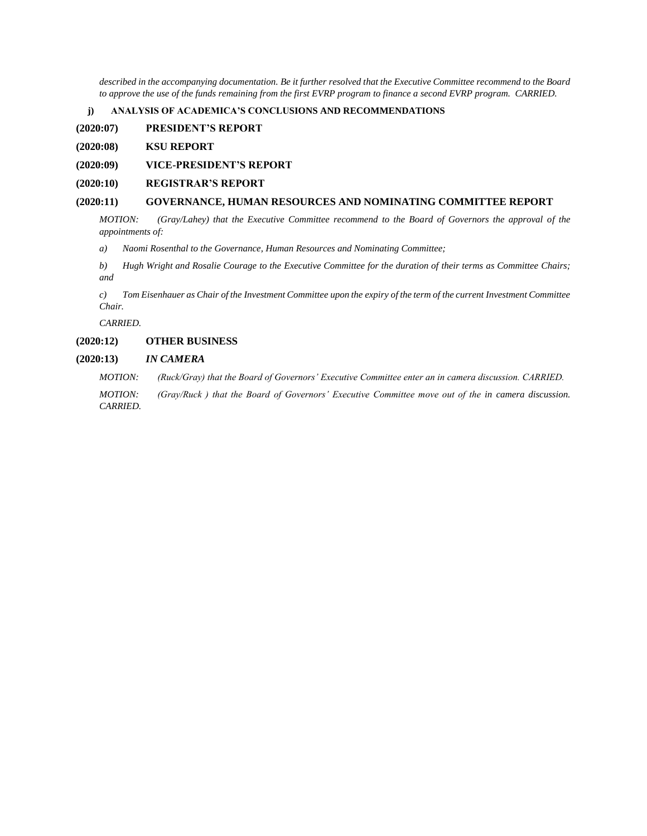*[described in the accompanying documentation. Be it further resolved that the Executive Committee recommend to the Board](#page-8-1)  [to approve the use of the funds remaining from the first EVRP program to finance a second EVRP program. CARRIED.](#page-8-1)*

**j) [ANALYSIS OF ACADEMICA'S CONCLUSIONS AND RECOMMENDATIONS](#page-8-2)**

**[\(2020:07\) PRESIDENT'S REPORT](#page-9-0)**

**[\(2020:08\) KSU REPORT](#page-10-0)**

**[\(2020:09\) VICE-PRESIDENT'S REPORT](#page-10-1)**

### **[\(2020:10\) REGISTRAR'S REPORT](#page-11-0)**

### **[\(2020:11\) GOVERNANCE, HUMAN RESOURCES AND NOMINATING COMMITTEE REPORT](#page-11-1)**

*[MOTION: \(Gray/Lahey\) that the Executive Committee recommend to the Board of Governors the approval of the](#page-11-2)  [appointments of:](#page-11-2)*

*a) [Naomi Rosenthal to the Governance, Human Resources and Nominating Committee;](#page-11-3)*

*b) [Hugh Wright and Rosalie Courage to the Executive Committee for the duration of their terms as Committee Chairs;](#page-11-4)  [and](#page-11-4)*

*c) [Tom Eisenhauer as Chair of the Investment Committee upon the expiry of the term of the current Investment Committee](#page-11-5)  [Chair.](#page-11-5)*

*[CARRIED.](#page-11-6)*

#### **[\(2020:12\) OTHER BUSINESS](#page-11-7)**

#### **(2020:13)** *[IN CAMERA](#page-11-8)*

*[MOTION: \(Ruck/Gray\) that the Board of Governors' Executive Committee enter an in camera discussion. CARRIED.](#page-11-9)*

*[MOTION: \(Gray/Ruck \) that the Board of Governors' Executive Committee move out of the in camera discussion.](#page-11-10)  [CARRIED.](#page-11-10)*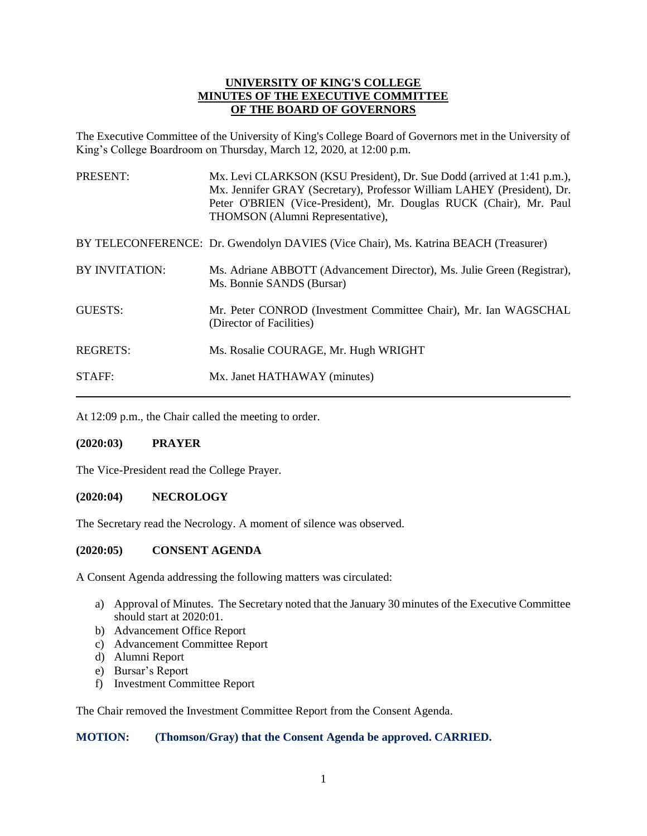## **UNIVERSITY OF KING'S COLLEGE MINUTES OF THE EXECUTIVE COMMITTEE OF THE BOARD OF GOVERNORS**

The Executive Committee of the University of King's College Board of Governors met in the University of King's College Boardroom on Thursday, March 12, 2020, at 12:00 p.m.

| PRESENT:              | Mx. Levi CLARKSON (KSU President), Dr. Sue Dodd (arrived at 1:41 p.m.),<br>Mx. Jennifer GRAY (Secretary), Professor William LAHEY (President), Dr.<br>Peter O'BRIEN (Vice-President), Mr. Douglas RUCK (Chair), Mr. Paul<br>THOMSON (Alumni Representative), |
|-----------------------|--------------------------------------------------------------------------------------------------------------------------------------------------------------------------------------------------------------------------------------------------------------|
|                       | BY TELECONFERENCE: Dr. Gwendolyn DAVIES (Vice Chair), Ms. Katrina BEACH (Treasurer)                                                                                                                                                                          |
| <b>BY INVITATION:</b> | Ms. Adriane ABBOTT (Advancement Director), Ms. Julie Green (Registrar),<br>Ms. Bonnie SANDS (Bursar)                                                                                                                                                         |
| <b>GUESTS:</b>        | Mr. Peter CONROD (Investment Committee Chair), Mr. Ian WAGSCHAL<br>(Director of Facilities)                                                                                                                                                                  |
| <b>REGRETS:</b>       | Ms. Rosalie COURAGE, Mr. Hugh WRIGHT                                                                                                                                                                                                                         |
| <b>STAFF:</b>         | Mx. Janet HATHAWAY (minutes)                                                                                                                                                                                                                                 |

At 12:09 p.m., the Chair called the meeting to order.

## <span id="page-2-0"></span>**(2020:03) PRAYER**

The Vice-President read the College Prayer.

## <span id="page-2-1"></span>**(2020:04) NECROLOGY**

The Secretary read the Necrology. A moment of silence was observed.

### <span id="page-2-2"></span>**(2020:05) CONSENT AGENDA**

A Consent Agenda addressing the following matters was circulated:

- a) Approval of Minutes. The Secretary noted that the January 30 minutes of the Executive Committee should start at 2020:01.
- b) Advancement Office Report
- c) Advancement Committee Report
- d) Alumni Report
- e) Bursar's Report
- f) Investment Committee Report

The Chair removed the Investment Committee Report from the Consent Agenda.

## <span id="page-2-3"></span>**MOTION: (Thomson/Gray) that the Consent Agenda be approved. CARRIED.**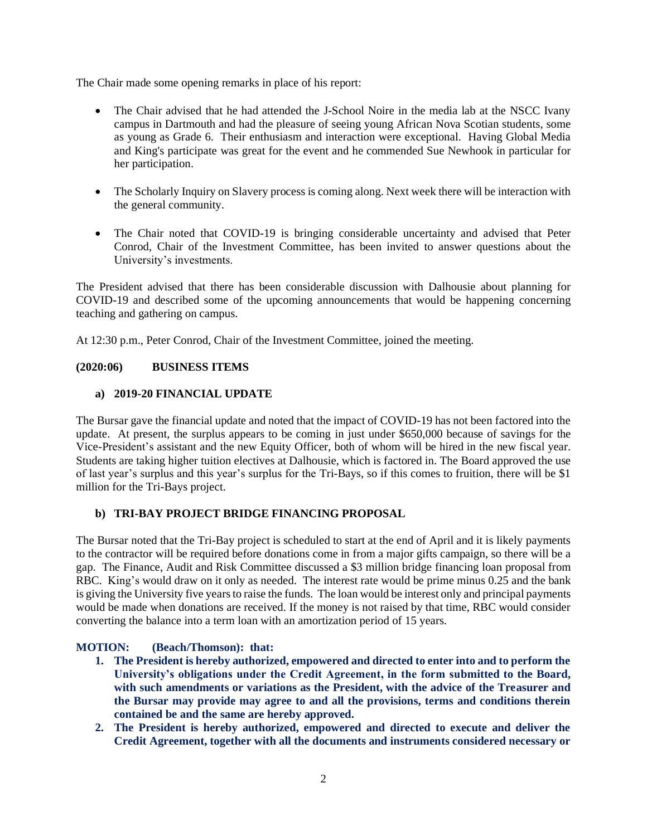The Chair made some opening remarks in place of his report:

- The Chair advised that he had attended the J-School Noire in the media lab at the NSCC Ivany campus in Dartmouth and had the pleasure of seeing young African Nova Scotian students, some as young as Grade 6. Their enthusiasm and interaction were exceptional. Having Global Media and King's participate was great for the event and he commended Sue Newhook in particular for her participation.
- The Scholarly Inquiry on Slavery process is coming along. Next week there will be interaction with the general community.
- The Chair noted that COVID-19 is bringing considerable uncertainty and advised that Peter Conrod, Chair of the Investment Committee, has been invited to answer questions about the University's investments.

The President advised that there has been considerable discussion with Dalhousie about planning for COVID-19 and described some of the upcoming announcements that would be happening concerning teaching and gathering on campus.

At 12:30 p.m., Peter Conrod, Chair of the Investment Committee, joined the meeting.

# <span id="page-3-0"></span>**(2020:06) BUSINESS ITEMS**

# <span id="page-3-1"></span>**a) 2019-20 FINANCIAL UPDATE**

The Bursar gave the financial update and noted that the impact of COVID-19 has not been factored into the update. At present, the surplus appears to be coming in just under \$650,000 because of savings for the Vice-President's assistant and the new Equity Officer, both of whom will be hired in the new fiscal year. Students are taking higher tuition electives at Dalhousie, which is factored in. The Board approved the use of last year's surplus and this year's surplus for the Tri-Bays, so if this comes to fruition, there will be \$1 million for the Tri-Bays project.

# <span id="page-3-2"></span>**b) TRI-BAY PROJECT BRIDGE FINANCING PROPOSAL**

The Bursar noted that the Tri-Bay project is scheduled to start at the end of April and it is likely payments to the contractor will be required before donations come in from a major gifts campaign, so there will be a gap. The Finance, Audit and Risk Committee discussed a \$3 million bridge financing loan proposal from RBC. King's would draw on it only as needed. The interest rate would be prime minus 0.25 and the bank is giving the University five years to raise the funds. The loan would be interest only and principal payments would be made when donations are received. If the money is not raised by that time, RBC would consider converting the balance into a term loan with an amortization period of 15 years.

# <span id="page-3-4"></span><span id="page-3-3"></span>**MOTION: (Beach/Thomson): that:**

- **1. The President is hereby authorized, empowered and directed to enter into and to perform the University's obligations under the Credit Agreement, in the form submitted to the Board, with such amendments or variations as the President, with the advice of the Treasurer and the Bursar may provide may agree to and all the provisions, terms and conditions therein contained be and the same are hereby approved.**
- <span id="page-3-5"></span>**2. The President is hereby authorized, empowered and directed to execute and deliver the Credit Agreement, together with all the documents and instruments considered necessary or**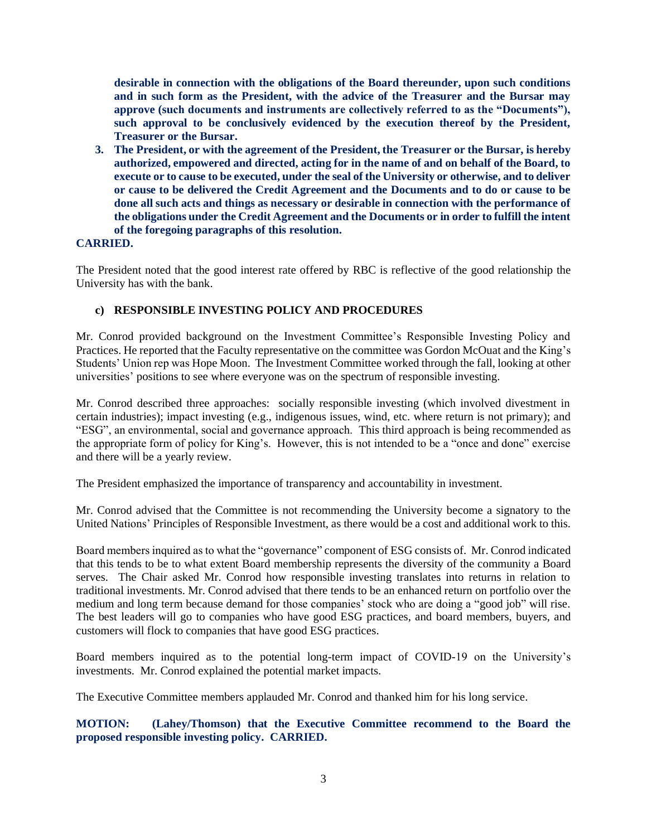**desirable in connection with the obligations of the Board thereunder, upon such conditions and in such form as the President, with the advice of the Treasurer and the Bursar may approve (such documents and instruments are collectively referred to as the "Documents"), such approval to be conclusively evidenced by the execution thereof by the President, Treasurer or the Bursar.**

<span id="page-4-0"></span>**3. The President, or with the agreement of the President, the Treasurer or the Bursar, is hereby authorized, empowered and directed, acting for in the name of and on behalf of the Board, to execute or to cause to be executed, under the seal of the University or otherwise, and to deliver or cause to be delivered the Credit Agreement and the Documents and to do or cause to be done all such acts and things as necessary or desirable in connection with the performance of the obligations under the Credit Agreement and the Documents or in order to fulfill the intent of the foregoing paragraphs of this resolution.** 

## <span id="page-4-1"></span>**CARRIED.**

The President noted that the good interest rate offered by RBC is reflective of the good relationship the University has with the bank.

# <span id="page-4-2"></span>**c) RESPONSIBLE INVESTING POLICY AND PROCEDURES**

Mr. Conrod provided background on the Investment Committee's Responsible Investing Policy and Practices. He reported that the Faculty representative on the committee was Gordon McOuat and the King's Students' Union rep was Hope Moon. The Investment Committee worked through the fall, looking at other universities' positions to see where everyone was on the spectrum of responsible investing.

Mr. Conrod described three approaches: socially responsible investing (which involved divestment in certain industries); impact investing (e.g., indigenous issues, wind, etc. where return is not primary); and "ESG", an environmental, social and governance approach. This third approach is being recommended as the appropriate form of policy for King's. However, this is not intended to be a "once and done" exercise and there will be a yearly review.

The President emphasized the importance of transparency and accountability in investment.

Mr. Conrod advised that the Committee is not recommending the University become a signatory to the United Nations' Principles of Responsible Investment, as there would be a cost and additional work to this.

Board members inquired as to what the "governance" component of ESG consists of. Mr. Conrod indicated that this tends to be to what extent Board membership represents the diversity of the community a Board serves. The Chair asked Mr. Conrod how responsible investing translates into returns in relation to traditional investments. Mr. Conrod advised that there tends to be an enhanced return on portfolio over the medium and long term because demand for those companies' stock who are doing a "good job" will rise. The best leaders will go to companies who have good ESG practices, and board members, buyers, and customers will flock to companies that have good ESG practices.

Board members inquired as to the potential long-term impact of COVID-19 on the University's investments. Mr. Conrod explained the potential market impacts.

The Executive Committee members applauded Mr. Conrod and thanked him for his long service.

<span id="page-4-3"></span>**MOTION: (Lahey/Thomson) that the Executive Committee recommend to the Board the proposed responsible investing policy. CARRIED.**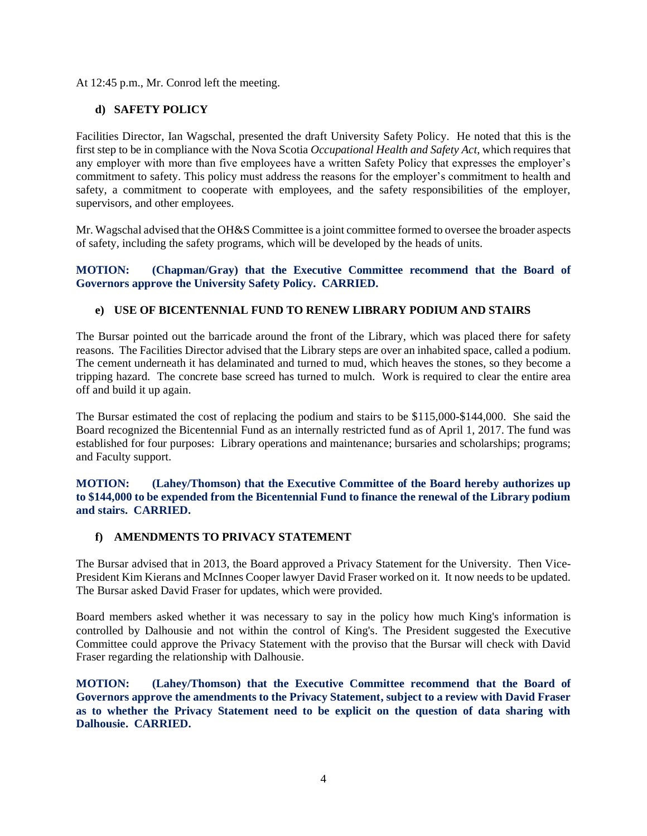At 12:45 p.m., Mr. Conrod left the meeting.

## <span id="page-5-0"></span>**d) SAFETY POLICY**

Facilities Director, Ian Wagschal, presented the draft University Safety Policy. He noted that this is the first step to be in compliance with the Nova Scotia *Occupational Health and Safety Act*, which requires that any employer with more than five employees have a written Safety Policy that expresses the employer's commitment to safety. This policy must address the reasons for the employer's commitment to health and safety, a commitment to cooperate with employees, and the safety responsibilities of the employer, supervisors, and other employees.

Mr. Wagschal advised that the OH&S Committee is a joint committee formed to oversee the broader aspects of safety, including the safety programs, which will be developed by the heads of units.

## <span id="page-5-1"></span>**MOTION: (Chapman/Gray) that the Executive Committee recommend that the Board of Governors approve the University Safety Policy. CARRIED.**

## <span id="page-5-2"></span>**e) USE OF BICENTENNIAL FUND TO RENEW LIBRARY PODIUM AND STAIRS**

The Bursar pointed out the barricade around the front of the Library, which was placed there for safety reasons. The Facilities Director advised that the Library steps are over an inhabited space, called a podium. The cement underneath it has delaminated and turned to mud, which heaves the stones, so they become a tripping hazard. The concrete base screed has turned to mulch. Work is required to clear the entire area off and build it up again.

The Bursar estimated the cost of replacing the podium and stairs to be \$115,000-\$144,000. She said the Board recognized the Bicentennial Fund as an internally restricted fund as of April 1, 2017. The fund was established for four purposes: Library operations and maintenance; bursaries and scholarships; programs; and Faculty support.

<span id="page-5-3"></span>**MOTION: (Lahey/Thomson) that the Executive Committee of the Board hereby authorizes up to \$144,000 to be expended from the Bicentennial Fund to finance the renewal of the Library podium and stairs. CARRIED.**

## <span id="page-5-4"></span>**f) AMENDMENTS TO PRIVACY STATEMENT**

The Bursar advised that in 2013, the Board approved a Privacy Statement for the University. Then Vice-President Kim Kierans and McInnes Cooper lawyer David Fraser worked on it. It now needs to be updated. The Bursar asked David Fraser for updates, which were provided.

Board members asked whether it was necessary to say in the policy how much King's information is controlled by Dalhousie and not within the control of King's. The President suggested the Executive Committee could approve the Privacy Statement with the proviso that the Bursar will check with David Fraser regarding the relationship with Dalhousie.

<span id="page-5-6"></span><span id="page-5-5"></span>**MOTION: (Lahey/Thomson) that the Executive Committee recommend that the Board of Governors approve the amendments to the Privacy Statement, subject to a review with David Fraser as to whether the Privacy Statement need to be explicit on the question of data sharing with Dalhousie. CARRIED.**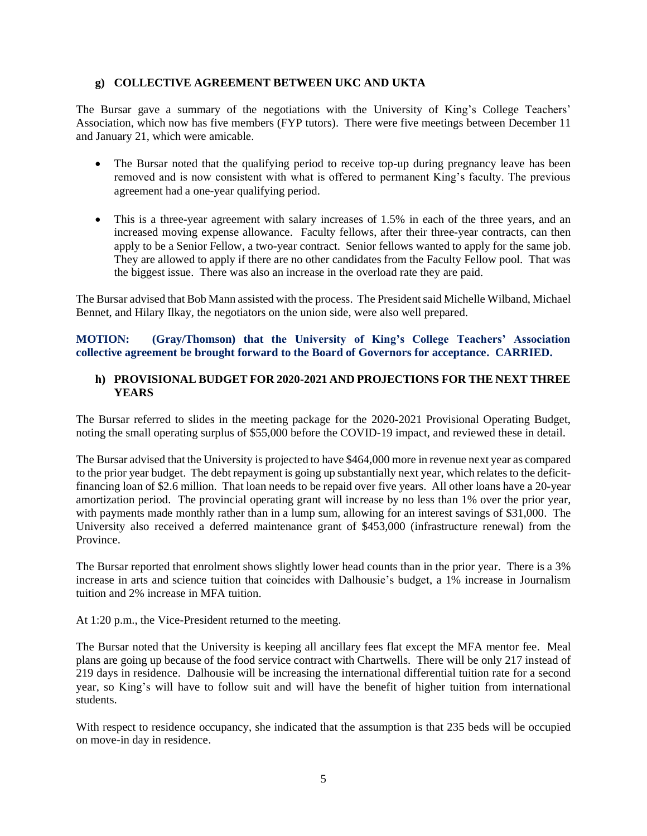## **g) COLLECTIVE AGREEMENT BETWEEN UKC AND UKTA**

The Bursar gave a summary of the negotiations with the University of King's College Teachers' Association, which now has five members (FYP tutors). There were five meetings between December 11 and January 21, which were amicable.

- The Bursar noted that the qualifying period to receive top-up during pregnancy leave has been removed and is now consistent with what is offered to permanent King's faculty. The previous agreement had a one-year qualifying period.
- This is a three-year agreement with salary increases of 1.5% in each of the three years, and an increased moving expense allowance. Faculty fellows, after their three-year contracts, can then apply to be a Senior Fellow, a two-year contract. Senior fellows wanted to apply for the same job. They are allowed to apply if there are no other candidates from the Faculty Fellow pool. That was the biggest issue. There was also an increase in the overload rate they are paid.

The Bursar advised that Bob Mann assisted with the process. The Presidentsaid Michelle Wilband, Michael Bennet, and Hilary Ilkay, the negotiators on the union side, were also well prepared.

<span id="page-6-0"></span>**MOTION: (Gray/Thomson) that the University of King's College Teachers' Association collective agreement be brought forward to the Board of Governors for acceptance. CARRIED.**

## <span id="page-6-1"></span>**h) PROVISIONAL BUDGET FOR 2020-2021 AND PROJECTIONS FOR THE NEXT THREE YEARS**

The Bursar referred to slides in the meeting package for the 2020-2021 Provisional Operating Budget, noting the small operating surplus of \$55,000 before the COVID-19 impact, and reviewed these in detail.

The Bursar advised that the University is projected to have \$464,000 more in revenue next year as compared to the prior year budget. The debt repayment is going up substantially next year, which relates to the deficitfinancing loan of \$2.6 million. That loan needs to be repaid over five years. All other loans have a 20-year amortization period. The provincial operating grant will increase by no less than 1% over the prior year, with payments made monthly rather than in a lump sum, allowing for an interest savings of \$31,000. The University also received a deferred maintenance grant of \$453,000 (infrastructure renewal) from the Province.

The Bursar reported that enrolment shows slightly lower head counts than in the prior year. There is a 3% increase in arts and science tuition that coincides with Dalhousie's budget, a 1% increase in Journalism tuition and 2% increase in MFA tuition.

At 1:20 p.m., the Vice-President returned to the meeting.

The Bursar noted that the University is keeping all ancillary fees flat except the MFA mentor fee. Meal plans are going up because of the food service contract with Chartwells. There will be only 217 instead of 219 days in residence. Dalhousie will be increasing the international differential tuition rate for a second year, so King's will have to follow suit and will have the benefit of higher tuition from international students.

With respect to residence occupancy, she indicated that the assumption is that 235 beds will be occupied on move-in day in residence.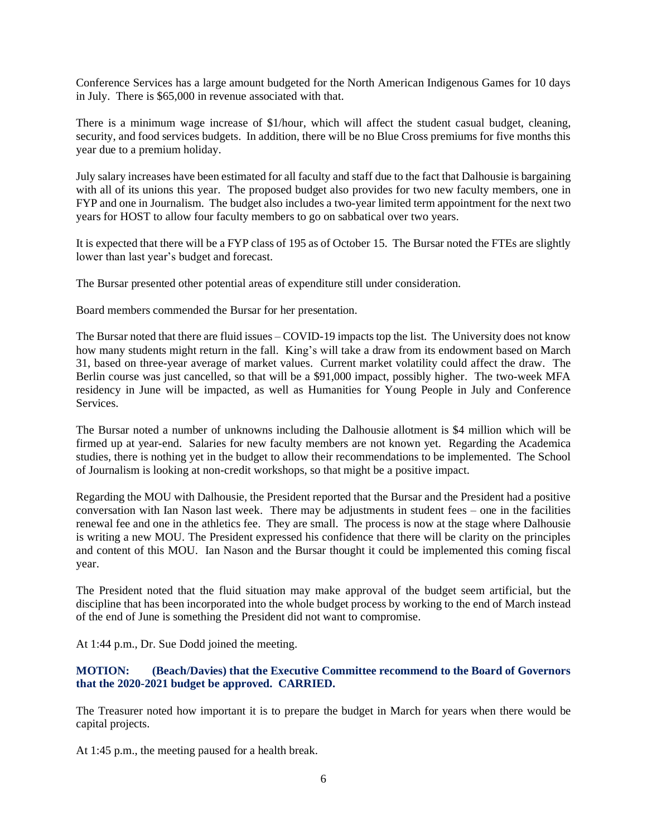Conference Services has a large amount budgeted for the North American Indigenous Games for 10 days in July. There is \$65,000 in revenue associated with that.

There is a minimum wage increase of \$1/hour, which will affect the student casual budget, cleaning, security, and food services budgets. In addition, there will be no Blue Cross premiums for five months this year due to a premium holiday.

July salary increases have been estimated for all faculty and staff due to the fact that Dalhousie is bargaining with all of its unions this year. The proposed budget also provides for two new faculty members, one in FYP and one in Journalism. The budget also includes a two-year limited term appointment for the next two years for HOST to allow four faculty members to go on sabbatical over two years.

It is expected that there will be a FYP class of 195 as of October 15. The Bursar noted the FTEs are slightly lower than last year's budget and forecast.

The Bursar presented other potential areas of expenditure still under consideration.

Board members commended the Bursar for her presentation.

The Bursar noted that there are fluid issues – COVID-19 impacts top the list. The University does not know how many students might return in the fall. King's will take a draw from its endowment based on March 31, based on three-year average of market values. Current market volatility could affect the draw. The Berlin course was just cancelled, so that will be a \$91,000 impact, possibly higher. The two-week MFA residency in June will be impacted, as well as Humanities for Young People in July and Conference **Services** 

The Bursar noted a number of unknowns including the Dalhousie allotment is \$4 million which will be firmed up at year-end. Salaries for new faculty members are not known yet. Regarding the Academica studies, there is nothing yet in the budget to allow their recommendations to be implemented. The School of Journalism is looking at non-credit workshops, so that might be a positive impact.

Regarding the MOU with Dalhousie, the President reported that the Bursar and the President had a positive conversation with Ian Nason last week. There may be adjustments in student fees – one in the facilities renewal fee and one in the athletics fee. They are small. The process is now at the stage where Dalhousie is writing a new MOU. The President expressed his confidence that there will be clarity on the principles and content of this MOU. Ian Nason and the Bursar thought it could be implemented this coming fiscal year.

The President noted that the fluid situation may make approval of the budget seem artificial, but the discipline that has been incorporated into the whole budget process by working to the end of March instead of the end of June is something the President did not want to compromise.

At 1:44 p.m., Dr. Sue Dodd joined the meeting.

# <span id="page-7-0"></span>**MOTION: (Beach/Davies) that the Executive Committee recommend to the Board of Governors that the 2020-2021 budget be approved. CARRIED.**

The Treasurer noted how important it is to prepare the budget in March for years when there would be capital projects.

At 1:45 p.m., the meeting paused for a health break.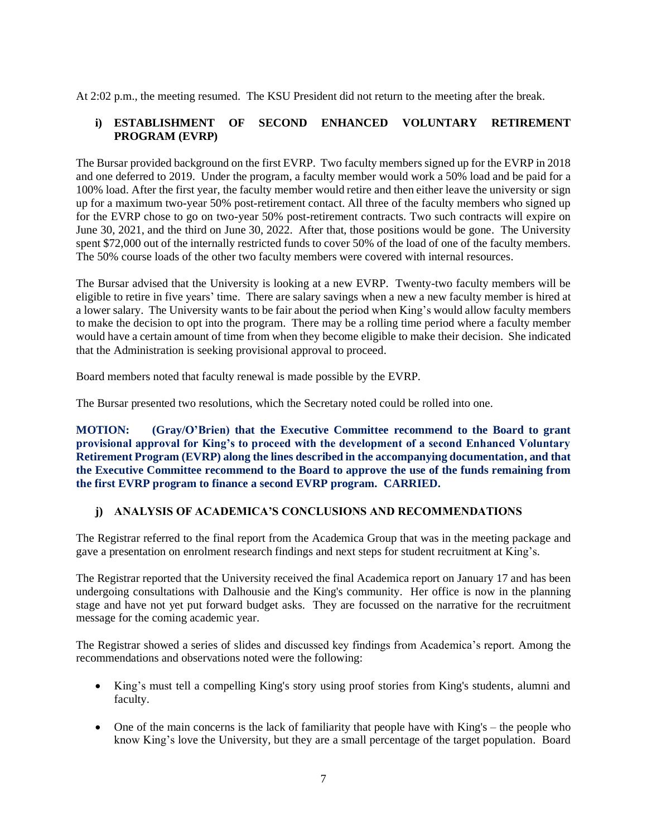At 2:02 p.m., the meeting resumed. The KSU President did not return to the meeting after the break.

# <span id="page-8-0"></span>**i) ESTABLISHMENT OF SECOND ENHANCED VOLUNTARY RETIREMENT PROGRAM (EVRP)**

The Bursar provided background on the first EVRP. Two faculty members signed up for the EVRP in 2018 and one deferred to 2019. Under the program, a faculty member would work a 50% load and be paid for a 100% load. After the first year, the faculty member would retire and then either leave the university or sign up for a maximum two-year 50% post-retirement contact. All three of the faculty members who signed up for the EVRP chose to go on two-year 50% post-retirement contracts. Two such contracts will expire on June 30, 2021, and the third on June 30, 2022. After that, those positions would be gone. The University spent \$72,000 out of the internally restricted funds to cover 50% of the load of one of the faculty members. The 50% course loads of the other two faculty members were covered with internal resources.

The Bursar advised that the University is looking at a new EVRP. Twenty-two faculty members will be eligible to retire in five years' time. There are salary savings when a new a new faculty member is hired at a lower salary. The University wants to be fair about the period when King's would allow faculty members to make the decision to opt into the program. There may be a rolling time period where a faculty member would have a certain amount of time from when they become eligible to make their decision. She indicated that the Administration is seeking provisional approval to proceed.

Board members noted that faculty renewal is made possible by the EVRP.

The Bursar presented two resolutions, which the Secretary noted could be rolled into one.

<span id="page-8-1"></span>**MOTION: (Gray/O'Brien) that the Executive Committee recommend to the Board to grant provisional approval for King's to proceed with the development of a second Enhanced Voluntary Retirement Program (EVRP) along the lines described in the accompanying documentation, and that the Executive Committee recommend to the Board to approve the use of the funds remaining from the first EVRP program to finance a second EVRP program. CARRIED.**

## <span id="page-8-2"></span>**j) ANALYSIS OF ACADEMICA'S CONCLUSIONS AND RECOMMENDATIONS**

The Registrar referred to the final report from the Academica Group that was in the meeting package and gave a presentation on enrolment research findings and next steps for student recruitment at King's.

The Registrar reported that the University received the final Academica report on January 17 and has been undergoing consultations with Dalhousie and the King's community. Her office is now in the planning stage and have not yet put forward budget asks. They are focussed on the narrative for the recruitment message for the coming academic year.

The Registrar showed a series of slides and discussed key findings from Academica's report. Among the recommendations and observations noted were the following:

- King's must tell a compelling King's story using proof stories from King's students, alumni and faculty.
- One of the main concerns is the lack of familiarity that people have with King's the people who know King's love the University, but they are a small percentage of the target population. Board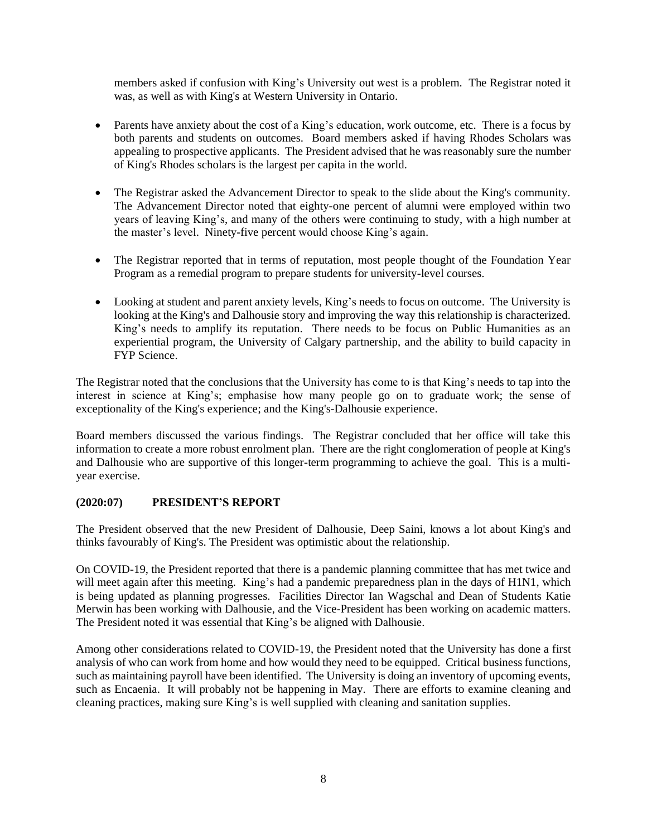members asked if confusion with King's University out west is a problem. The Registrar noted it was, as well as with King's at Western University in Ontario.

- Parents have anxiety about the cost of a King's education, work outcome, etc. There is a focus by both parents and students on outcomes. Board members asked if having Rhodes Scholars was appealing to prospective applicants. The President advised that he was reasonably sure the number of King's Rhodes scholars is the largest per capita in the world.
- The Registrar asked the Advancement Director to speak to the slide about the King's community. The Advancement Director noted that eighty-one percent of alumni were employed within two years of leaving King's, and many of the others were continuing to study, with a high number at the master's level. Ninety-five percent would choose King's again.
- The Registrar reported that in terms of reputation, most people thought of the Foundation Year Program as a remedial program to prepare students for university-level courses.
- Looking at student and parent anxiety levels, King's needs to focus on outcome. The University is looking at the King's and Dalhousie story and improving the way this relationship is characterized. King's needs to amplify its reputation. There needs to be focus on Public Humanities as an experiential program, the University of Calgary partnership, and the ability to build capacity in FYP Science.

The Registrar noted that the conclusions that the University has come to is that King's needs to tap into the interest in science at King's; emphasise how many people go on to graduate work; the sense of exceptionality of the King's experience; and the King's-Dalhousie experience.

Board members discussed the various findings. The Registrar concluded that her office will take this information to create a more robust enrolment plan. There are the right conglomeration of people at King's and Dalhousie who are supportive of this longer-term programming to achieve the goal. This is a multiyear exercise.

# <span id="page-9-0"></span>**(2020:07) PRESIDENT'S REPORT**

The President observed that the new President of Dalhousie, Deep Saini, knows a lot about King's and thinks favourably of King's. The President was optimistic about the relationship.

On COVID-19, the President reported that there is a pandemic planning committee that has met twice and will meet again after this meeting. King's had a pandemic preparedness plan in the days of H1N1, which is being updated as planning progresses. Facilities Director Ian Wagschal and Dean of Students Katie Merwin has been working with Dalhousie, and the Vice-President has been working on academic matters. The President noted it was essential that King's be aligned with Dalhousie.

Among other considerations related to COVID-19, the President noted that the University has done a first analysis of who can work from home and how would they need to be equipped. Critical business functions, such as maintaining payroll have been identified. The University is doing an inventory of upcoming events, such as Encaenia. It will probably not be happening in May. There are efforts to examine cleaning and cleaning practices, making sure King's is well supplied with cleaning and sanitation supplies.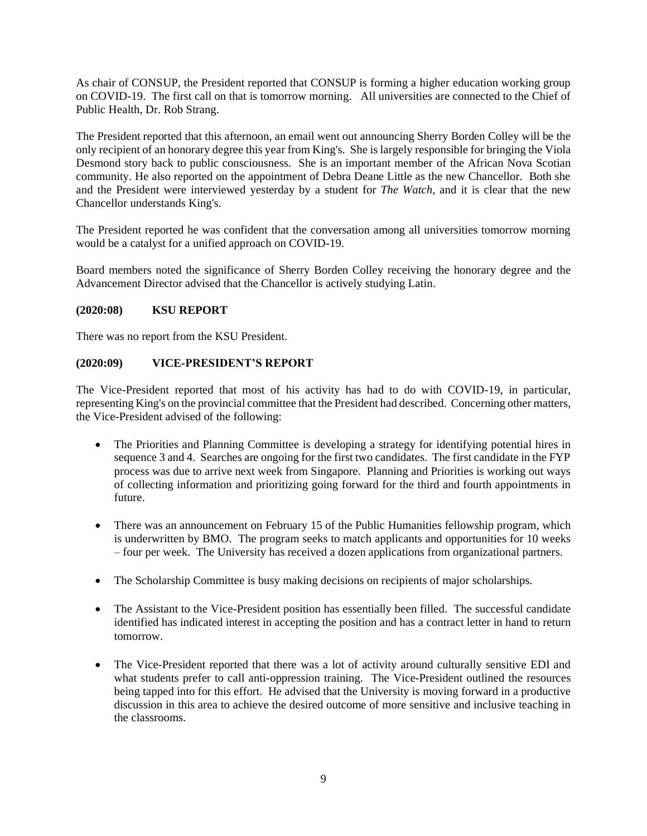As chair of CONSUP, the President reported that CONSUP is forming a higher education working group on COVID-19. The first call on that is tomorrow morning. All universities are connected to the Chief of Public Health, Dr. Rob Strang.

The President reported that this afternoon, an email went out announcing Sherry Borden Colley will be the only recipient of an honorary degree this year from King's. She is largely responsible for bringing the Viola Desmond story back to public consciousness. She is an important member of the African Nova Scotian community. He also reported on the appointment of Debra Deane Little as the new Chancellor. Both she and the President were interviewed yesterday by a student for *The Watch*, and it is clear that the new Chancellor understands King's.

The President reported he was confident that the conversation among all universities tomorrow morning would be a catalyst for a unified approach on COVID-19.

Board members noted the significance of Sherry Borden Colley receiving the honorary degree and the Advancement Director advised that the Chancellor is actively studying Latin.

### <span id="page-10-0"></span>**(2020:08) KSU REPORT**

There was no report from the KSU President.

## <span id="page-10-1"></span>**(2020:09) VICE-PRESIDENT'S REPORT**

The Vice-President reported that most of his activity has had to do with COVID-19, in particular, representing King's on the provincial committee that the President had described. Concerning other matters, the Vice-President advised of the following:

- The Priorities and Planning Committee is developing a strategy for identifying potential hires in sequence 3 and 4. Searches are ongoing for the first two candidates. The first candidate in the FYP process was due to arrive next week from Singapore. Planning and Priorities is working out ways of collecting information and prioritizing going forward for the third and fourth appointments in future.
- There was an announcement on February 15 of the Public Humanities fellowship program, which is underwritten by BMO. The program seeks to match applicants and opportunities for 10 weeks – four per week. The University has received a dozen applications from organizational partners.
- The Scholarship Committee is busy making decisions on recipients of major scholarships.
- The Assistant to the Vice-President position has essentially been filled. The successful candidate identified has indicated interest in accepting the position and has a contract letter in hand to return tomorrow.
- The Vice-President reported that there was a lot of activity around culturally sensitive EDI and what students prefer to call anti-oppression training. The Vice-President outlined the resources being tapped into for this effort. He advised that the University is moving forward in a productive discussion in this area to achieve the desired outcome of more sensitive and inclusive teaching in the classrooms.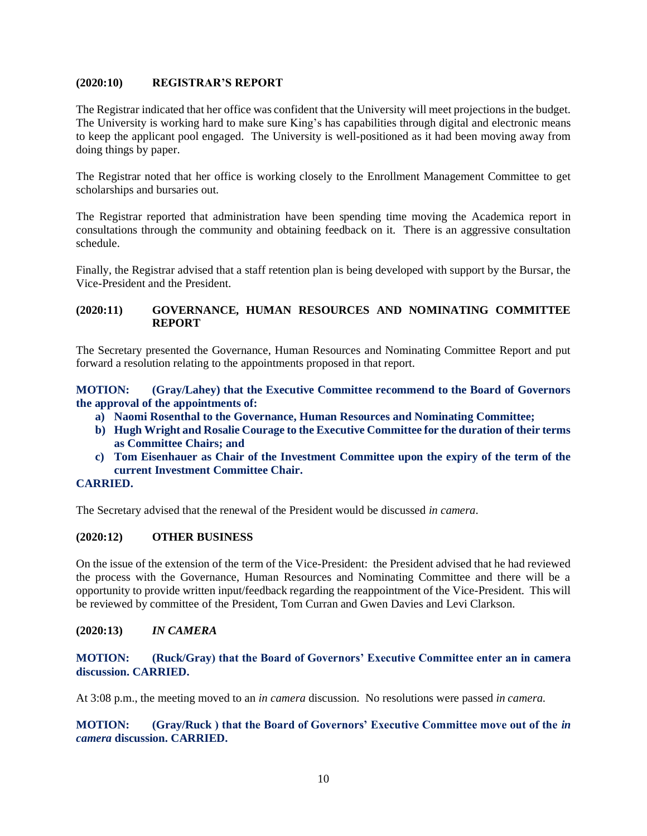## <span id="page-11-0"></span>**(2020:10) REGISTRAR'S REPORT**

The Registrar indicated that her office was confident that the University will meet projections in the budget. The University is working hard to make sure King's has capabilities through digital and electronic means to keep the applicant pool engaged. The University is well-positioned as it had been moving away from doing things by paper.

The Registrar noted that her office is working closely to the Enrollment Management Committee to get scholarships and bursaries out.

The Registrar reported that administration have been spending time moving the Academica report in consultations through the community and obtaining feedback on it. There is an aggressive consultation schedule.

Finally, the Registrar advised that a staff retention plan is being developed with support by the Bursar, the Vice-President and the President.

## <span id="page-11-1"></span>**(2020:11) GOVERNANCE, HUMAN RESOURCES AND NOMINATING COMMITTEE REPORT**

The Secretary presented the Governance, Human Resources and Nominating Committee Report and put forward a resolution relating to the appointments proposed in that report.

<span id="page-11-2"></span>**MOTION: (Gray/Lahey) that the Executive Committee recommend to the Board of Governors the approval of the appointments of:** 

- <span id="page-11-3"></span>**a) Naomi Rosenthal to the Governance, Human Resources and Nominating Committee;**
- <span id="page-11-4"></span>**b) Hugh Wright and Rosalie Courage to the Executive Committee for the duration of their terms as Committee Chairs; and**
- <span id="page-11-5"></span>**c) Tom Eisenhauer as Chair of the Investment Committee upon the expiry of the term of the current Investment Committee Chair.**

## <span id="page-11-6"></span>**CARRIED.**

The Secretary advised that the renewal of the President would be discussed *in camera*.

## <span id="page-11-7"></span>**(2020:12) OTHER BUSINESS**

On the issue of the extension of the term of the Vice-President: the President advised that he had reviewed the process with the Governance, Human Resources and Nominating Committee and there will be a opportunity to provide written input/feedback regarding the reappointment of the Vice-President. This will be reviewed by committee of the President, Tom Curran and Gwen Davies and Levi Clarkson.

### <span id="page-11-8"></span>**(2020:13)** *IN CAMERA*

## <span id="page-11-9"></span>**MOTION: (Ruck/Gray) that the Board of Governors' Executive Committee enter an in camera discussion. CARRIED.**

At 3:08 p.m., the meeting moved to an *in camera* discussion. No resolutions were passed *in camera.*

<span id="page-11-10"></span>**MOTION: (Gray/Ruck ) that the Board of Governors' Executive Committee move out of the** *in camera* **discussion. CARRIED.**